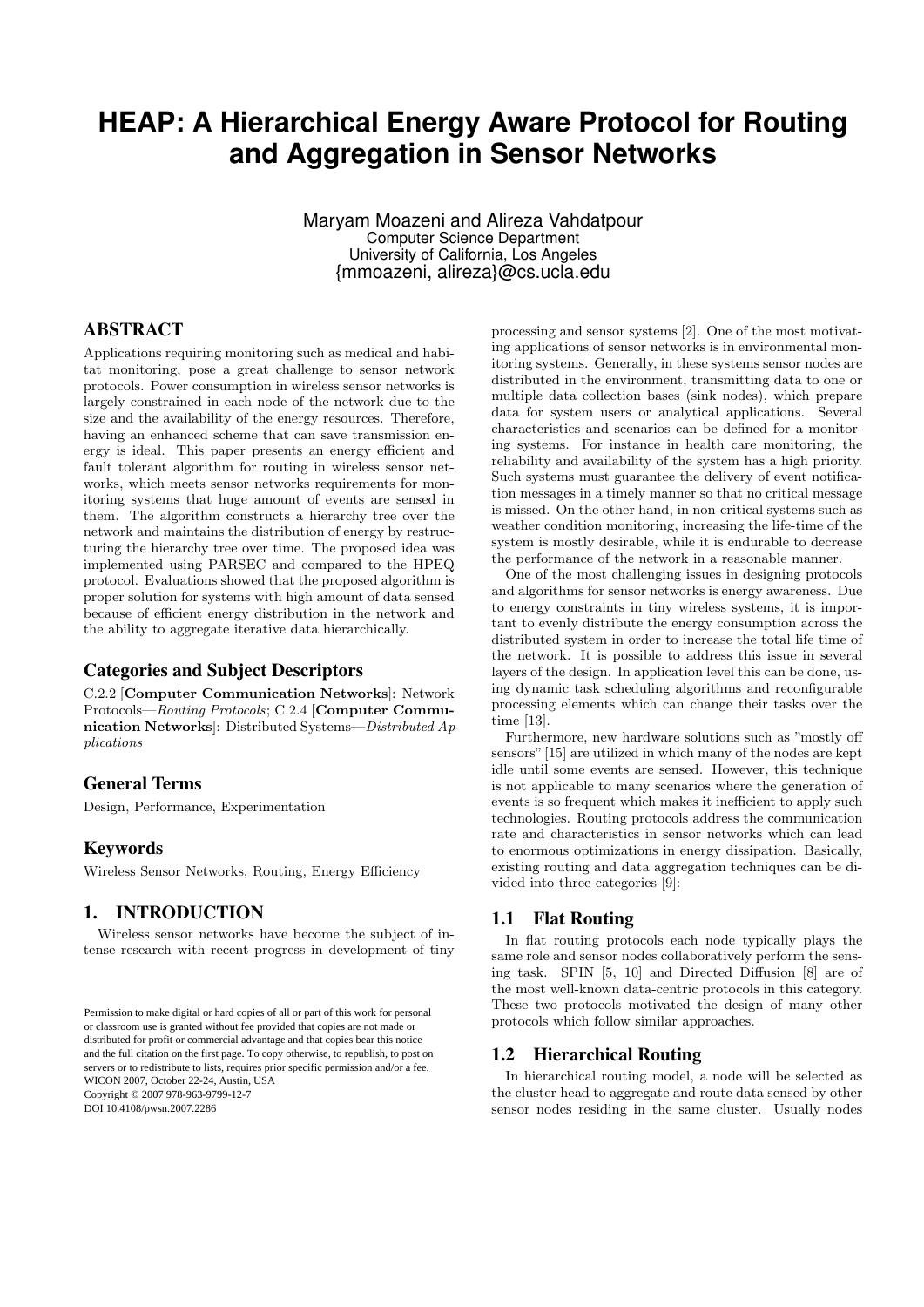# **HEAP: A Hierarchical Energy Aware Protocol for Routing and Aggregation in Sensor Networks**

Maryam Moazeni and Alireza Vahdatpour Computer Science Department University of California, Los Angeles {mmoazeni, alireza}@cs.ucla.edu

# ABSTRACT

Applications requiring monitoring such as medical and habitat monitoring, pose a great challenge to sensor network protocols. Power consumption in wireless sensor networks is largely constrained in each node of the network due to the size and the availability of the energy resources. Therefore, having an enhanced scheme that can save transmission energy is ideal. This paper presents an energy efficient and fault tolerant algorithm for routing in wireless sensor networks, which meets sensor networks requirements for monitoring systems that huge amount of events are sensed in them. The algorithm constructs a hierarchy tree over the network and maintains the distribution of energy by restructuring the hierarchy tree over time. The proposed idea was implemented using PARSEC and compared to the HPEQ protocol. Evaluations showed that the proposed algorithm is proper solution for systems with high amount of data sensed because of efficient energy distribution in the network and the ability to aggregate iterative data hierarchically.

## Categories and Subject Descriptors

C.2.2 [Computer Communication Networks]: Network Protocols—Routing Protocols; C.2.4 [Computer Communication Networks]: Distributed Systems—Distributed Applications

# General Terms

Design, Performance, Experimentation

## Keywords

Wireless Sensor Networks, Routing, Energy Efficiency

# 1. INTRODUCTION

Wireless sensor networks have become the subject of intense research with recent progress in development of tiny

DOI 10.4108/pwsn.2007.2286

processing and sensor systems [2]. One of the most motivating applications of sensor networks is in environmental monitoring systems. Generally, in these systems sensor nodes are distributed in the environment, transmitting data to one or multiple data collection bases (sink nodes), which prepare data for system users or analytical applications. Several characteristics and scenarios can be defined for a monitoring systems. For instance in health care monitoring, the reliability and availability of the system has a high priority. Such systems must guarantee the delivery of event notification messages in a timely manner so that no critical message is missed. On the other hand, in non-critical systems such as weather condition monitoring, increasing the life-time of the system is mostly desirable, while it is endurable to decrease the performance of the network in a reasonable manner.

One of the most challenging issues in designing protocols and algorithms for sensor networks is energy awareness. Due to energy constraints in tiny wireless systems, it is important to evenly distribute the energy consumption across the distributed system in order to increase the total life time of the network. It is possible to address this issue in several layers of the design. In application level this can be done, using dynamic task scheduling algorithms and reconfigurable processing elements which can change their tasks over the time [13].

Furthermore, new hardware solutions such as "mostly off sensors"[15] are utilized in which many of the nodes are kept idle until some events are sensed. However, this technique is not applicable to many scenarios where the generation of events is so frequent which makes it inefficient to apply such technologies. Routing protocols address the communication rate and characteristics in sensor networks which can lead to enormous optimizations in energy dissipation. Basically, existing routing and data aggregation techniques can be divided into three categories [9]:

#### 1.1 Flat Routing

In flat routing protocols each node typically plays the same role and sensor nodes collaboratively perform the sensing task. SPIN [5, 10] and Directed Diffusion [8] are of the most well-known data-centric protocols in this category. These two protocols motivated the design of many other protocols which follow similar approaches.

# 1.2 Hierarchical Routing

In hierarchical routing model, a node will be selected as the cluster head to aggregate and route data sensed by other sensor nodes residing in the same cluster. Usually nodes

Permission to make digital or hard copies of all or part of this work for Permission to make digital or hard copies of all or part of this work for personal or classroom use is granted without fee provided that copies are not made or distributed for profit or commercial advantage and that copies bear this notice and the full citation on the first page. To copy otherwise, to republish, to post on servers or to redistribute to lists, requires prior specific permission and/or a fee. WICON  $200$ , October  $22$ **Copyright © 2007 978-963-9799-12-7** WICON 2007, October 22-24, Austin, USA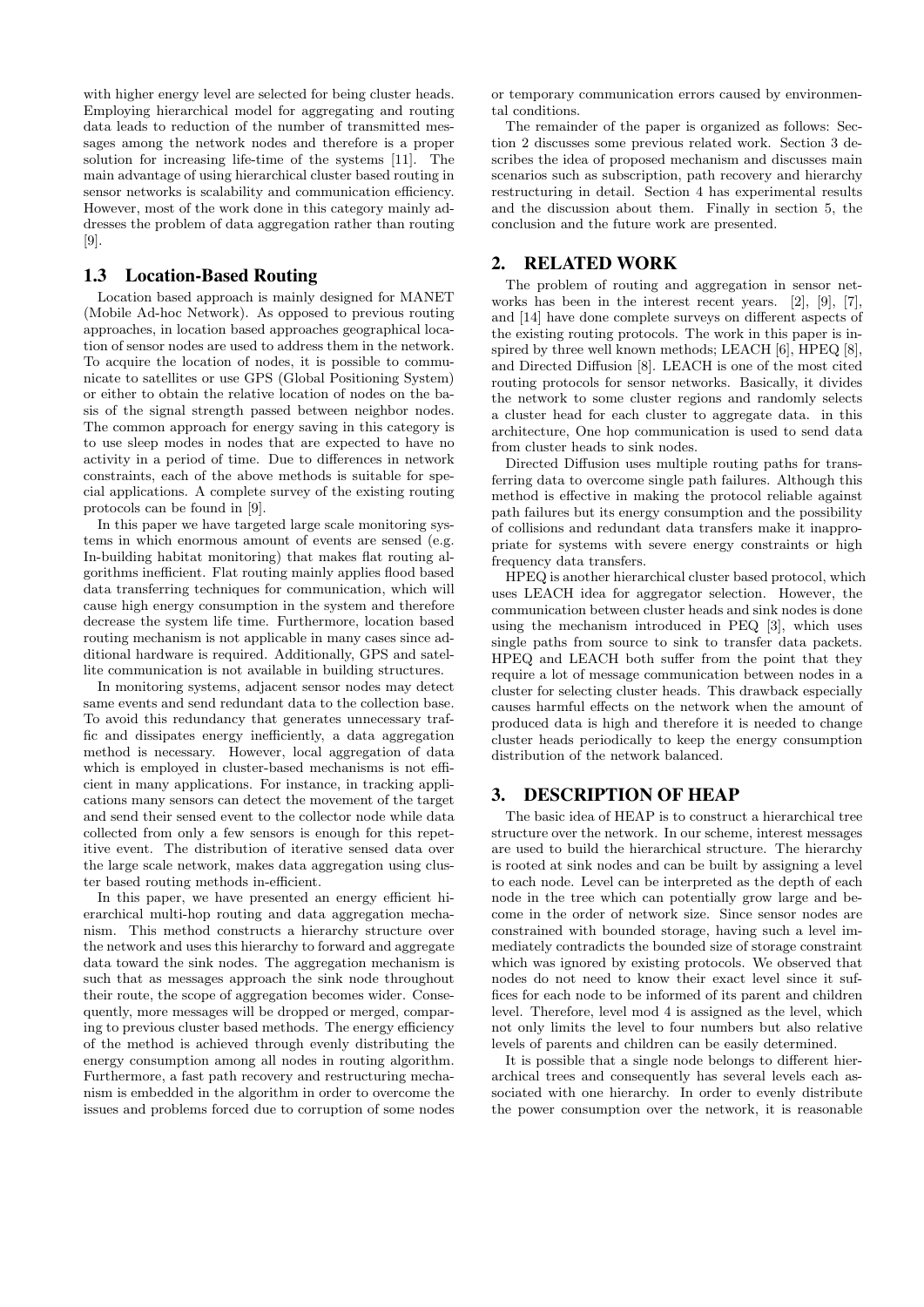with higher energy level are selected for being cluster heads. Employing hierarchical model for aggregating and routing data leads to reduction of the number of transmitted messages among the network nodes and therefore is a proper solution for increasing life-time of the systems [11]. The main advantage of using hierarchical cluster based routing in sensor networks is scalability and communication efficiency. However, most of the work done in this category mainly addresses the problem of data aggregation rather than routing [9].

## 1.3 Location-Based Routing

Location based approach is mainly designed for MANET (Mobile Ad-hoc Network). As opposed to previous routing approaches, in location based approaches geographical location of sensor nodes are used to address them in the network. To acquire the location of nodes, it is possible to communicate to satellites or use GPS (Global Positioning System) or either to obtain the relative location of nodes on the basis of the signal strength passed between neighbor nodes. The common approach for energy saving in this category is to use sleep modes in nodes that are expected to have no activity in a period of time. Due to differences in network constraints, each of the above methods is suitable for special applications. A complete survey of the existing routing protocols can be found in [9].

In this paper we have targeted large scale monitoring systems in which enormous amount of events are sensed (e.g. In-building habitat monitoring) that makes flat routing algorithms inefficient. Flat routing mainly applies flood based data transferring techniques for communication, which will cause high energy consumption in the system and therefore decrease the system life time. Furthermore, location based routing mechanism is not applicable in many cases since additional hardware is required. Additionally, GPS and satellite communication is not available in building structures.

In monitoring systems, adjacent sensor nodes may detect same events and send redundant data to the collection base. To avoid this redundancy that generates unnecessary traffic and dissipates energy inefficiently, a data aggregation method is necessary. However, local aggregation of data which is employed in cluster-based mechanisms is not efficient in many applications. For instance, in tracking applications many sensors can detect the movement of the target and send their sensed event to the collector node while data collected from only a few sensors is enough for this repetitive event. The distribution of iterative sensed data over the large scale network, makes data aggregation using cluster based routing methods in-efficient.

In this paper, we have presented an energy efficient hierarchical multi-hop routing and data aggregation mechanism. This method constructs a hierarchy structure over the network and uses this hierarchy to forward and aggregate data toward the sink nodes. The aggregation mechanism is such that as messages approach the sink node throughout their route, the scope of aggregation becomes wider. Consequently, more messages will be dropped or merged, comparing to previous cluster based methods. The energy efficiency of the method is achieved through evenly distributing the energy consumption among all nodes in routing algorithm. Furthermore, a fast path recovery and restructuring mechanism is embedded in the algorithm in order to overcome the issues and problems forced due to corruption of some nodes

or temporary communication errors caused by environmental conditions.

The remainder of the paper is organized as follows: Section 2 discusses some previous related work. Section 3 describes the idea of proposed mechanism and discusses main scenarios such as subscription, path recovery and hierarchy restructuring in detail. Section 4 has experimental results and the discussion about them. Finally in section 5, the conclusion and the future work are presented.

## 2. RELATED WORK

The problem of routing and aggregation in sensor networks has been in the interest recent years. [2], [9], [7], and [14] have done complete surveys on different aspects of the existing routing protocols. The work in this paper is inspired by three well known methods; LEACH [6], HPEQ [8], and Directed Diffusion [8]. LEACH is one of the most cited routing protocols for sensor networks. Basically, it divides the network to some cluster regions and randomly selects a cluster head for each cluster to aggregate data. in this architecture, One hop communication is used to send data from cluster heads to sink nodes.

Directed Diffusion uses multiple routing paths for transferring data to overcome single path failures. Although this method is effective in making the protocol reliable against path failures but its energy consumption and the possibility of collisions and redundant data transfers make it inappropriate for systems with severe energy constraints or high frequency data transfers.

HPEQ is another hierarchical cluster based protocol, which uses LEACH idea for aggregator selection. However, the communication between cluster heads and sink nodes is done using the mechanism introduced in PEQ [3], which uses single paths from source to sink to transfer data packets. HPEQ and LEACH both suffer from the point that they require a lot of message communication between nodes in a cluster for selecting cluster heads. This drawback especially causes harmful effects on the network when the amount of produced data is high and therefore it is needed to change cluster heads periodically to keep the energy consumption distribution of the network balanced.

# 3. DESCRIPTION OF HEAP

The basic idea of HEAP is to construct a hierarchical tree structure over the network. In our scheme, interest messages are used to build the hierarchical structure. The hierarchy is rooted at sink nodes and can be built by assigning a level to each node. Level can be interpreted as the depth of each node in the tree which can potentially grow large and become in the order of network size. Since sensor nodes are constrained with bounded storage, having such a level immediately contradicts the bounded size of storage constraint which was ignored by existing protocols. We observed that nodes do not need to know their exact level since it suffices for each node to be informed of its parent and children level. Therefore, level mod 4 is assigned as the level, which not only limits the level to four numbers but also relative levels of parents and children can be easily determined.

It is possible that a single node belongs to different hierarchical trees and consequently has several levels each associated with one hierarchy. In order to evenly distribute the power consumption over the network, it is reasonable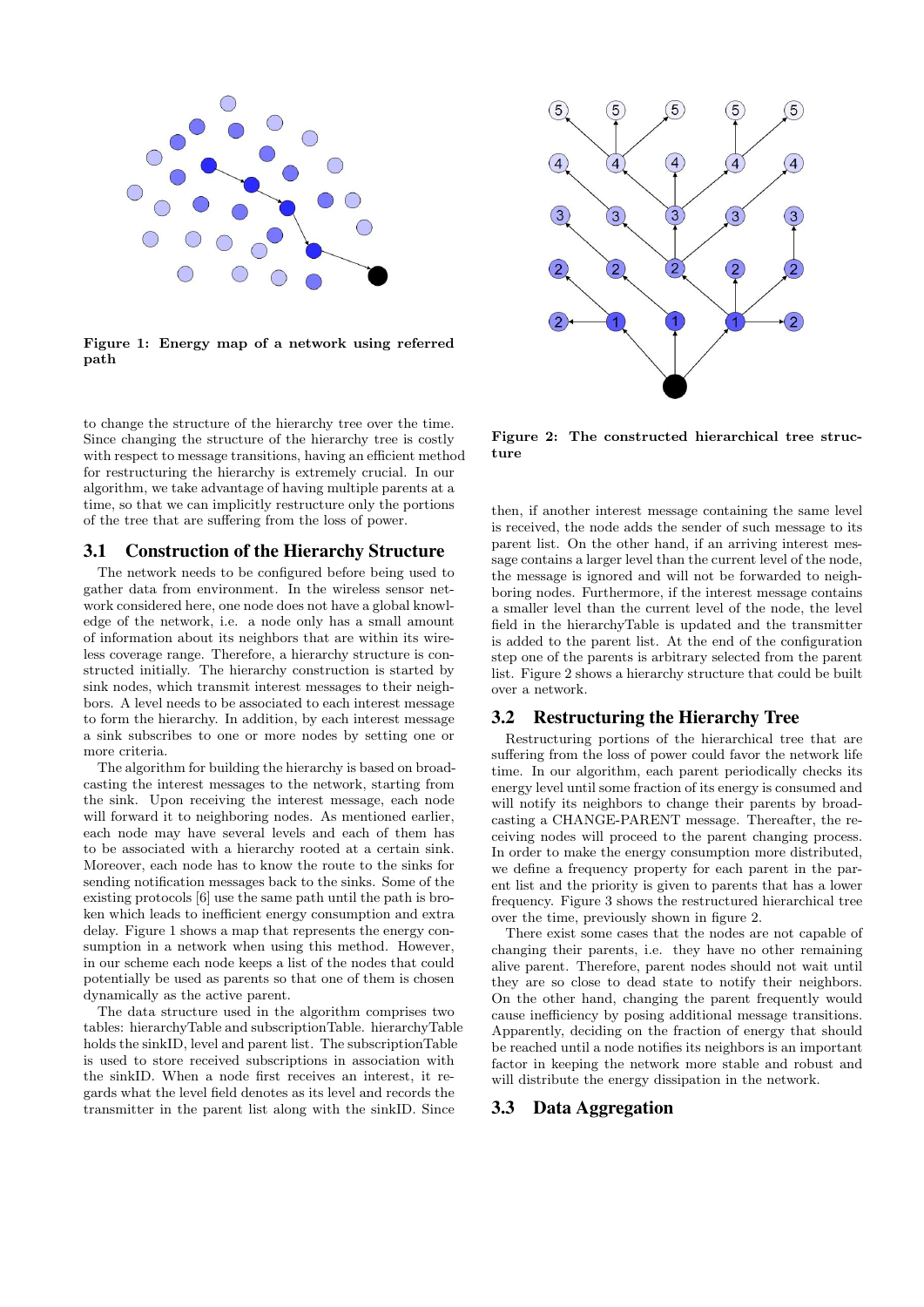

Figure 1: Energy map of a network using referred path

to change the structure of the hierarchy tree over the time. Since changing the structure of the hierarchy tree is costly with respect to message transitions, having an efficient method for restructuring the hierarchy is extremely crucial. In our algorithm, we take advantage of having multiple parents at a time, so that we can implicitly restructure only the portions of the tree that are suffering from the loss of power.

#### 3.1 Construction of the Hierarchy Structure

The network needs to be configured before being used to gather data from environment. In the wireless sensor network considered here, one node does not have a global knowledge of the network, i.e. a node only has a small amount of information about its neighbors that are within its wireless coverage range. Therefore, a hierarchy structure is constructed initially. The hierarchy construction is started by sink nodes, which transmit interest messages to their neighbors. A level needs to be associated to each interest message to form the hierarchy. In addition, by each interest message a sink subscribes to one or more nodes by setting one or more criteria.

The algorithm for building the hierarchy is based on broadcasting the interest messages to the network, starting from the sink. Upon receiving the interest message, each node will forward it to neighboring nodes. As mentioned earlier, each node may have several levels and each of them has to be associated with a hierarchy rooted at a certain sink. Moreover, each node has to know the route to the sinks for sending notification messages back to the sinks. Some of the existing protocols [6] use the same path until the path is broken which leads to inefficient energy consumption and extra delay. Figure 1 shows a map that represents the energy consumption in a network when using this method. However, in our scheme each node keeps a list of the nodes that could potentially be used as parents so that one of them is chosen dynamically as the active parent.

The data structure used in the algorithm comprises two tables: hierarchyTable and subscriptionTable. hierarchyTable holds the sinkID, level and parent list. The subscriptionTable is used to store received subscriptions in association with the sinkID. When a node first receives an interest, it regards what the level field denotes as its level and records the transmitter in the parent list along with the sinkID. Since



Figure 2: The constructed hierarchical tree structure

then, if another interest message containing the same level is received, the node adds the sender of such message to its parent list. On the other hand, if an arriving interest message contains a larger level than the current level of the node, the message is ignored and will not be forwarded to neighboring nodes. Furthermore, if the interest message contains a smaller level than the current level of the node, the level field in the hierarchyTable is updated and the transmitter is added to the parent list. At the end of the configuration step one of the parents is arbitrary selected from the parent list. Figure 2 shows a hierarchy structure that could be built over a network.

#### 3.2 Restructuring the Hierarchy Tree

Restructuring portions of the hierarchical tree that are suffering from the loss of power could favor the network life time. In our algorithm, each parent periodically checks its energy level until some fraction of its energy is consumed and will notify its neighbors to change their parents by broadcasting a CHANGE-PARENT message. Thereafter, the receiving nodes will proceed to the parent changing process. In order to make the energy consumption more distributed, we define a frequency property for each parent in the parent list and the priority is given to parents that has a lower frequency. Figure 3 shows the restructured hierarchical tree over the time, previously shown in figure 2.

There exist some cases that the nodes are not capable of changing their parents, i.e. they have no other remaining alive parent. Therefore, parent nodes should not wait until they are so close to dead state to notify their neighbors. On the other hand, changing the parent frequently would cause inefficiency by posing additional message transitions. Apparently, deciding on the fraction of energy that should be reached until a node notifies its neighbors is an important factor in keeping the network more stable and robust and will distribute the energy dissipation in the network.

#### 3.3 Data Aggregation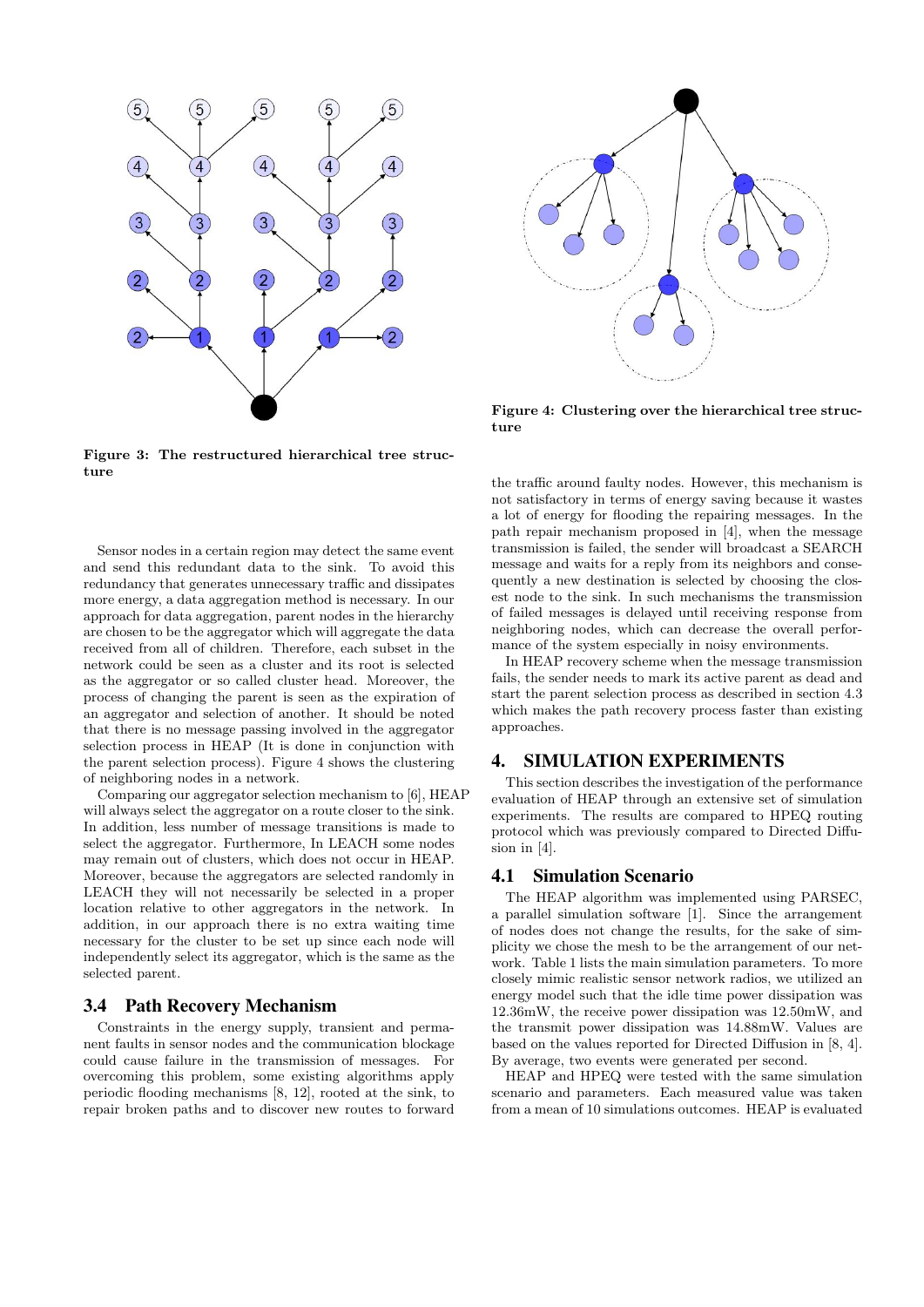

Figure 3: The restructured hierarchical tree structure

Sensor nodes in a certain region may detect the same event and send this redundant data to the sink. To avoid this redundancy that generates unnecessary traffic and dissipates more energy, a data aggregation method is necessary. In our approach for data aggregation, parent nodes in the hierarchy are chosen to be the aggregator which will aggregate the data received from all of children. Therefore, each subset in the network could be seen as a cluster and its root is selected as the aggregator or so called cluster head. Moreover, the process of changing the parent is seen as the expiration of an aggregator and selection of another. It should be noted that there is no message passing involved in the aggregator selection process in HEAP (It is done in conjunction with the parent selection process). Figure 4 shows the clustering of neighboring nodes in a network.

Comparing our aggregator selection mechanism to [6], HEAP will always select the aggregator on a route closer to the sink. In addition, less number of message transitions is made to select the aggregator. Furthermore, In LEACH some nodes may remain out of clusters, which does not occur in HEAP. Moreover, because the aggregators are selected randomly in LEACH they will not necessarily be selected in a proper location relative to other aggregators in the network. In addition, in our approach there is no extra waiting time necessary for the cluster to be set up since each node will independently select its aggregator, which is the same as the selected parent.

# 3.4 Path Recovery Mechanism

Constraints in the energy supply, transient and permanent faults in sensor nodes and the communication blockage could cause failure in the transmission of messages. For overcoming this problem, some existing algorithms apply periodic flooding mechanisms [8, 12], rooted at the sink, to repair broken paths and to discover new routes to forward



Figure 4: Clustering over the hierarchical tree structure

the traffic around faulty nodes. However, this mechanism is not satisfactory in terms of energy saving because it wastes a lot of energy for flooding the repairing messages. In the path repair mechanism proposed in [4], when the message transmission is failed, the sender will broadcast a SEARCH message and waits for a reply from its neighbors and consequently a new destination is selected by choosing the closest node to the sink. In such mechanisms the transmission of failed messages is delayed until receiving response from neighboring nodes, which can decrease the overall performance of the system especially in noisy environments.

In HEAP recovery scheme when the message transmission fails, the sender needs to mark its active parent as dead and start the parent selection process as described in section 4.3 which makes the path recovery process faster than existing approaches.

# 4. SIMULATION EXPERIMENTS

This section describes the investigation of the performance evaluation of HEAP through an extensive set of simulation experiments. The results are compared to HPEQ routing protocol which was previously compared to Directed Diffusion in [4].

## 4.1 Simulation Scenario

The HEAP algorithm was implemented using PARSEC, a parallel simulation software [1]. Since the arrangement of nodes does not change the results, for the sake of simplicity we chose the mesh to be the arrangement of our network. Table 1 lists the main simulation parameters. To more closely mimic realistic sensor network radios, we utilized an energy model such that the idle time power dissipation was 12.36mW, the receive power dissipation was 12.50mW, and the transmit power dissipation was 14.88mW. Values are based on the values reported for Directed Diffusion in [8, 4]. By average, two events were generated per second.

HEAP and HPEQ were tested with the same simulation scenario and parameters. Each measured value was taken from a mean of 10 simulations outcomes. HEAP is evaluated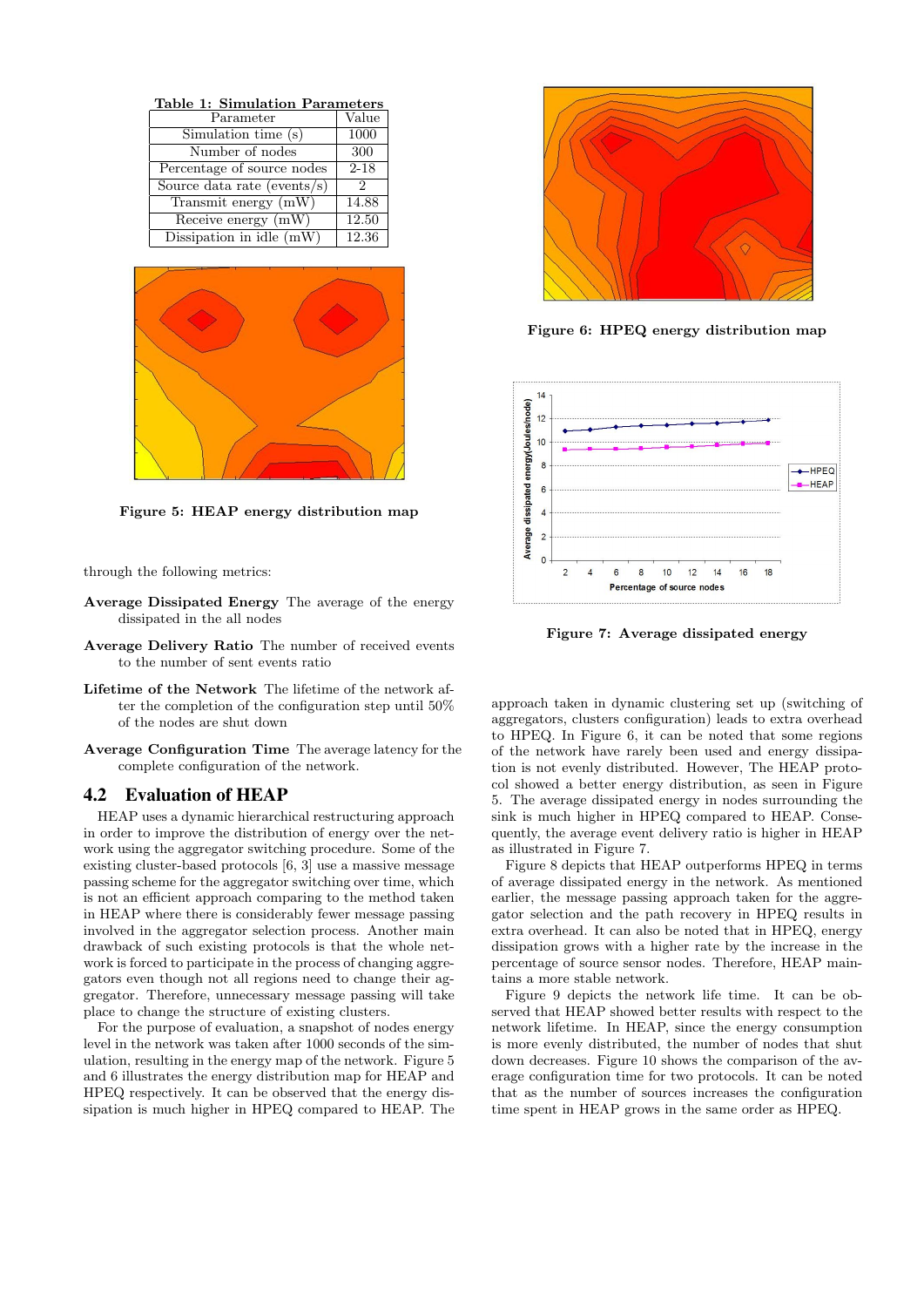| Table 1: Simulation Parameters |          |
|--------------------------------|----------|
| Parameter                      | Value    |
| Simulation time (s)            | 1000     |
| Number of nodes                | 300      |
| Percentage of source nodes     | $2 - 18$ |
| Source data rate (events/s)    | 2        |
| Transmit energy (mW)           | 14.88    |
| Receive energy (mW)            | 12.50    |
| Dissipation in idle $(mW)$     | 12.36    |



Figure 5: HEAP energy distribution map

through the following metrics:

- Average Dissipated Energy The average of the energy dissipated in the all nodes
- Average Delivery Ratio The number of received events to the number of sent events ratio
- Lifetime of the Network The lifetime of the network after the completion of the configuration step until 50% of the nodes are shut down
- Average Configuration Time The average latency for the complete configuration of the network.

# 4.2 Evaluation of HEAP

HEAP uses a dynamic hierarchical restructuring approach in order to improve the distribution of energy over the network using the aggregator switching procedure. Some of the existing cluster-based protocols [6, 3] use a massive message passing scheme for the aggregator switching over time, which is not an efficient approach comparing to the method taken in HEAP where there is considerably fewer message passing involved in the aggregator selection process. Another main drawback of such existing protocols is that the whole network is forced to participate in the process of changing aggregators even though not all regions need to change their aggregator. Therefore, unnecessary message passing will take place to change the structure of existing clusters.

For the purpose of evaluation, a snapshot of nodes energy level in the network was taken after 1000 seconds of the simulation, resulting in the energy map of the network. Figure 5 and 6 illustrates the energy distribution map for HEAP and HPEQ respectively. It can be observed that the energy dissipation is much higher in HPEQ compared to HEAP. The



Figure 6: HPEQ energy distribution map



Figure 7: Average dissipated energy

approach taken in dynamic clustering set up (switching of aggregators, clusters configuration) leads to extra overhead to HPEQ. In Figure 6, it can be noted that some regions of the network have rarely been used and energy dissipation is not evenly distributed. However, The HEAP protocol showed a better energy distribution, as seen in Figure 5. The average dissipated energy in nodes surrounding the sink is much higher in HPEQ compared to HEAP. Consequently, the average event delivery ratio is higher in HEAP as illustrated in Figure 7.

Figure 8 depicts that HEAP outperforms HPEQ in terms of average dissipated energy in the network. As mentioned earlier, the message passing approach taken for the aggregator selection and the path recovery in HPEQ results in extra overhead. It can also be noted that in HPEQ, energy dissipation grows with a higher rate by the increase in the percentage of source sensor nodes. Therefore, HEAP maintains a more stable network.

Figure 9 depicts the network life time. It can be observed that HEAP showed better results with respect to the network lifetime. In HEAP, since the energy consumption is more evenly distributed, the number of nodes that shut down decreases. Figure 10 shows the comparison of the average configuration time for two protocols. It can be noted that as the number of sources increases the configuration time spent in HEAP grows in the same order as HPEQ.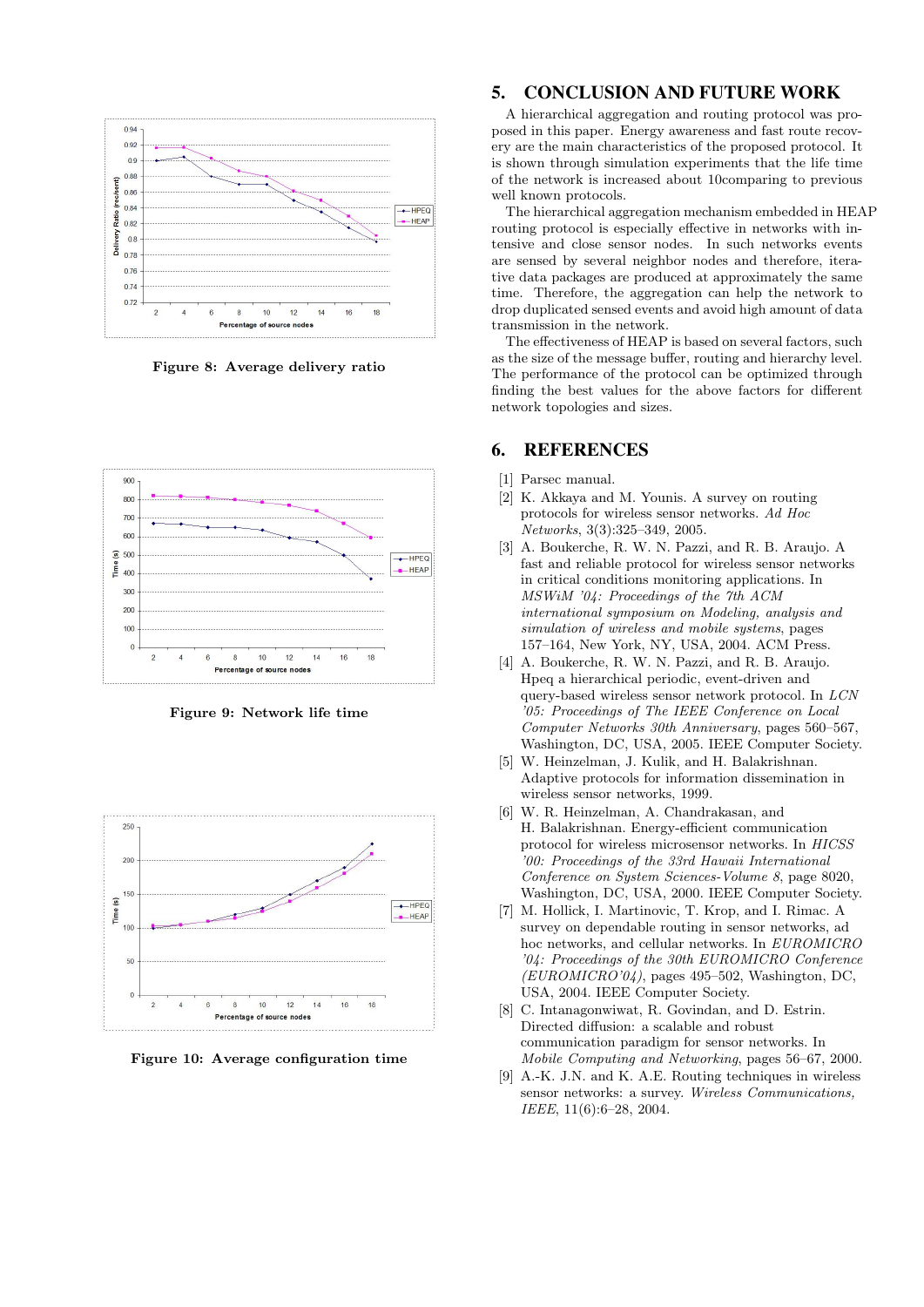

Figure 8: Average delivery ratio



Figure 9: Network life time



Figure 10: Average configuration time

# 5. CONCLUSION AND FUTURE WORK

A hierarchical aggregation and routing protocol was proposed in this paper. Energy awareness and fast route recovery are the main characteristics of the proposed protocol. It is shown through simulation experiments that the life time of the network is increased about 10comparing to previous well known protocols.

The hierarchical aggregation mechanism embedded in HEAP routing protocol is especially effective in networks with intensive and close sensor nodes. In such networks events are sensed by several neighbor nodes and therefore, iterative data packages are produced at approximately the same time. Therefore, the aggregation can help the network to drop duplicated sensed events and avoid high amount of data transmission in the network.

The effectiveness of HEAP is based on several factors, such as the size of the message buffer, routing and hierarchy level. The performance of the protocol can be optimized through finding the best values for the above factors for different network topologies and sizes.

## 6. REFERENCES

- [1] Parsec manual.
- [2] K. Akkaya and M. Younis. A survey on routing protocols for wireless sensor networks. Ad Hoc Networks, 3(3):325–349, 2005.
- [3] A. Boukerche, R. W. N. Pazzi, and R. B. Araujo. A fast and reliable protocol for wireless sensor networks in critical conditions monitoring applications. In MSWiM '04: Proceedings of the 7th ACM international symposium on Modeling, analysis and simulation of wireless and mobile systems, pages 157–164, New York, NY, USA, 2004. ACM Press.
- [4] A. Boukerche, R. W. N. Pazzi, and R. B. Araujo. Hpeq a hierarchical periodic, event-driven and query-based wireless sensor network protocol. In LCN '05: Proceedings of The IEEE Conference on Local Computer Networks 30th Anniversary, pages 560–567, Washington, DC, USA, 2005. IEEE Computer Society.
- [5] W. Heinzelman, J. Kulik, and H. Balakrishnan. Adaptive protocols for information dissemination in wireless sensor networks, 1999.
- [6] W. R. Heinzelman, A. Chandrakasan, and H. Balakrishnan. Energy-efficient communication protocol for wireless microsensor networks. In HICSS '00: Proceedings of the 33rd Hawaii International Conference on System Sciences-Volume 8, page 8020, Washington, DC, USA, 2000. IEEE Computer Society.
- [7] M. Hollick, I. Martinovic, T. Krop, and I. Rimac. A survey on dependable routing in sensor networks, ad hoc networks, and cellular networks. In EUROMICRO '04: Proceedings of the 30th EUROMICRO Conference (EUROMICRO'04), pages 495–502, Washington, DC, USA, 2004. IEEE Computer Society.
- [8] C. Intanagonwiwat, R. Govindan, and D. Estrin. Directed diffusion: a scalable and robust communication paradigm for sensor networks. In Mobile Computing and Networking, pages 56–67, 2000.
- [9] A.-K. J.N. and K. A.E. Routing techniques in wireless sensor networks: a survey. Wireless Communications, IEEE, 11(6):6–28, 2004.